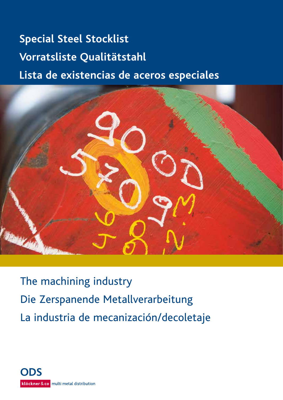# **Special Steel Stocklist** Vorratsliste Qualitätstahl **Lista de existencias de aceros especiales**



The machining industry Die Zerspanende Metallverarbeitung La industria de mecanización/decoletaje

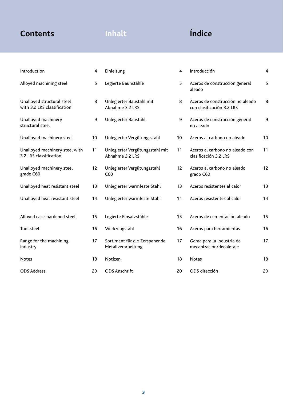# **Contents Inhalt Índice**

| Introduction                                              | 4  | Einleitung                                          | $\overline{\mathbf{4}}$ | Introducción                                                  | $\overline{4}$ |
|-----------------------------------------------------------|----|-----------------------------------------------------|-------------------------|---------------------------------------------------------------|----------------|
| Alloyed machining steel                                   | 5  | Legierte Bauhstähle                                 | 5                       | Aceros de construcción general<br>aleado                      | 5              |
| Unalloyed structural steel<br>with 3.2 LRS classification | 8  | Unlegierter Baustahl mit<br>Abnahme 3.2 LRS         | 8                       | Aceros de construcción no aleado<br>con clasificación 3.2 LRS | 8              |
| Unalloyed machinery<br>structural steel                   | 9  | Unlegierter Baustahl                                | 9                       | Aceros de construcción general<br>no aleado                   | 9              |
| Unalloyed machinery steel                                 | 10 | Unlegierter Vergütungsstahl                         | 10                      | Aceros al carbono no aleado                                   | 10             |
| Unalloyed machinery steel with<br>3.2 LRS classification  | 11 | Unlegierter Vergütungsstahl mit<br>Abnahme 3.2 LRS  | 11                      | Aceros al carbono no aleado con<br>clasificación 3.2 LRS      | 11             |
| Unalloyed machinery steel<br>grade C60                    | 12 | Unlegierter Vergütungsstahl<br>C60                  | 12                      | Aceros al carbono no aleado<br>grado C60                      | 12             |
| Unalloyed heat resistant steel                            | 13 | Unlegierter warmfeste Stahl                         | 13                      | Aceros resistentes al calor                                   | 13             |
| Unalloyed heat resistant steel                            | 14 | Unlegierter warmfeste Stahl                         | 14                      | Aceros resistentes al calor                                   | 14             |
| Alloyed case-hardened steel                               | 15 | Legierte Einsatzstähle                              | 15                      | Aceros de cementación aleado                                  | 15             |
| <b>Tool steel</b>                                         | 16 | Werkzeugstahl                                       | 16                      | Aceros para herramientas                                      | 16             |
| Range for the machining<br>industry                       | 17 | Sortiment für die Zerspanende<br>Metallverarbeitung | 17                      | Gama para la industria de<br>mecanización/decoletaje          | 17             |
| <b>Notes</b>                                              | 18 | Notizen                                             | 18                      | <b>Notas</b>                                                  | 18             |
| <b>ODS Address</b>                                        | 20 | <b>ODS Anschrift</b>                                | 20                      | ODS dirección                                                 | 20             |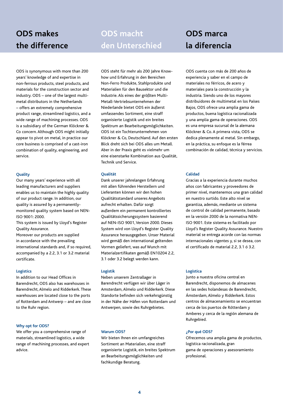# **ODS makes the difference**

# **ODS macht den Unterschied**

ODS is synonymous with more than 200 years' knowledge of and expertise in non-ferrous products, steel products, and materials for the construction sector and industry. ODS – one of the largest multimetal distributors in the Netherlands – offers an extremely comprehensive product range, streamlined logistics, and a wide range of machining processes. ODS is a subsidiary of the German Klöckner & Co concern. Although ODS might initially appear to pivot on metal, in practice our core business is comprised of a cast-iron combination of quality, engineering, and service.

### **Quality**

Our many years' experience with all leading manufacturers and suppliers enables us to maintain the highly quality of our product range. In addition, our quality is assured by a permanentlymonitored quality system based on NEN-ISO 9001: 2000.

This system is issued by Lloyd's Register Quality Assurance.

Moreover our products are supplied in accordance with the prevailing international standards and, if so required, accompanied by a 2.2, 3.1 or 3.2 material certificate.

### **Logistics**

In addition to our Head Offices in Barendrecht, ODS also has warehouses in Barendrecht, Almelo and Ridderkerk. These warehouses are located close to the ports of Rotterdam and Antwerp – and are close to the Ruhr region.

### **Why opt for ODS?**

We offer you a comprehensive range of materials, streamlined logistics, a wide range of machining processes, and expert advice.

ODS steht für mehr als 200 Jahre Knowhow und Erfahrung in den Bereichen Non-Ferro Produkte, Stahlprodukte und Materialien für den Bausektor und die Industrie. Als eines der größten Multi-Metall-Vertriebsunternehmen der Niederlande bietet ODS ein äußerst umfassendes Sortiment, eine straff organisierte Logistik und ein breites Spektrum an Bearbeitungsmöglichkeiten. ODS ist ein Tochterunternehmen von Klöckner & Co, Deutschland. Auf den ersten Blick dreht sich bei ODS alles um Metall. Aber in der Praxis geht es vielmehr um eine eisenstarke Kombination aus Qualität, Technik und Service.

### **Qualität**

Dank unserer jahrelangen Erfahrung mit allen führenden Herstellern und Lieferanten können wir den hohen Qualitätsstandard unseres Angebots aufrecht erhalten. Dafür sorgt außerdem ein permanent kontrolliertes Qualitätssicherungssystem basierend auf NEN-ISO 9001, Version 2000. Dieses System wird von Lloyd's Register Quality Assurance herausgegeben. Unser Material wird gemäß den international geltenden Vormen geliefert, was auf Wunch mit Materialzertifikaten gemäß EN10204 2.2, 3.1 oder 3.2 belegt werden kann.

### **Logistik**

Neben unserem Zentrallager in Barendrecht verfügen wir über Läger in Amsterdam, Almelo und Ridderkerk. Diese Standorte befinden sich verkehrsgünstig in der Nähe der Häfen von Rotterdam und Antwerpen, sowie des Ruhrgebietes.

### **Warum ODS?**

Wir bieten Ihnen ein umfangreiches Sortiment an Materialien, eine straff organisierte Logistik, ein breites Spektrum an Bearbeitungsmöglichkeiten und fachkundige Beratung.

# **ODS marca la diferencia**

ODS cuenta con más de 200 años de experiencia y saber en el campo de materiales no férricos, de acero y materiales para la construcción y la industria. Siendo uno de los mayores distribuidores de multimetal en los Países Bajos, ODS ofrece una amplia gama de productos, buena logística racionalizada y una amplia gama de operaciones. ODS es una empresa sucursal de la alemana Klöckner & Co. A primera vista, ODS se dedica plenamente al metal. Sin embargo, en la práctica, su enfoque es la férrea combinación de calidad, técnica y servicios.

### **Calidad**

Gracias a la experiencia durante muchos años con fabricantes y proveedores de primer nivel, mantenemos una gran calidad en nuestro surtido. Este alto nivel se garantiza, además, mediante un sistema de control de calidad permanente, basado en la versión 2000 de la normativa NEN-ISO 9001. Este sistema es facilitado por Lloyd's Register Quality Assurance. Nuestro material se entrega acorde con las normas internacionales vigentes y, si se desea, con el certificado de material 2.2, 3.1 ó 3.2.

### **Logística**

Junto a nuestra oficina central en Barendrecht, disponemos de almacenes en las sedes holandesas de Barendrecht, Ámsterdam, Almelo y Ridderkerk. Estos centros de almacenamiento se encuentran cerca de los puertos de Rótterdam y Amberes y cerca de la región alemana de Ruhrgebied.

### **¿Por qué ODS?**

Ofrecemos una amplia gama de productos, logística racionalizada, gran gama de operaciones y asesoramiento profesional.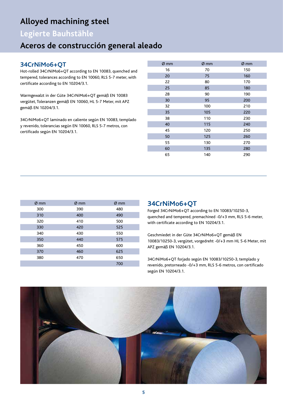# **Alloyed machining steel**

# **Legierte Bauhstähle**

# **Aceros de construcción general aleado**

## **34CrNiMo6+QT**

Hot-rolled 34CrNiMo6+QT according to EN 10083, quenched and tempered, tolerances according to EN 10060, RLS 5-7 meter, with certificate according to EN 10204/3.1.

Warmgewalzt in der Güte 34CrNiMo6+QT gemäß EN 10083 vergütet, Toleranzen gemäß EN 10060, HL 5-7 Meter, mit APZ gemäß EN 10204/3.1.

34CrNiMo6+QT laminado en caliente según EN 10083, templado y revenido, tolerancias según EN 10060, RLS 5-7 metros, con certificado según EN 10204/3.1.

| $Ø$ mm | $Ø$ mm | $Ø$ mm |
|--------|--------|--------|
| 16     | 70     | 150    |
| 20     | 75     | 160    |
| 22     | 80     | 170    |
| 25     | 85     | 180    |
| 28     | 90     | 190    |
| 30     | 95     | 200    |
| 32     | 100    | 210    |
| 35     | 105    | 220    |
| 38     | 110    | 230    |
| 40     | 115    | 240    |
| 45     | 120    | 250    |
| 50     | 125    | 260    |
| 55     | 130    | 270    |
| 60     | 135    | 280    |
| 65     | 140    | 290    |

| $Ø$ mm | $\varnothing$ mm | $\varnothing$ mm |
|--------|------------------|------------------|
| 300    | 390              | 480              |
| 310    | 400              | 490              |
| 320    | 410              | 500              |
| 330    | 420              | 525              |
| 340    | 430              | 550              |
| 350    | 440              | 575              |
| 360    | 450              | 600              |
| 370    | 460              | 625              |
| 380    | 470              | 650              |
|        |                  | 700              |

### **34CrNiMo6+QT**

Forged 34CrNiMo6+QT according to EN 10083/10250-3, quenched and tempered, premachined -0/+3 mm, RLS 5-6 meter, with certificate according to EN 10204/3.1.

Geschmiedet in der Güte 34CrNiMo6+QT gemäß EN 10083/10250-3, vergütet, vorgedreht -0/+3 mm HL 5-6 Meter, mit APZ gemäß EN 10204/3.1.

34CrNiMo6+QT forjado según EN 10083/10250-3, templado y revenido, pretorneado -0/+3 mm, RLS 5-6 metros, con certificado según EN 10204/3.1.

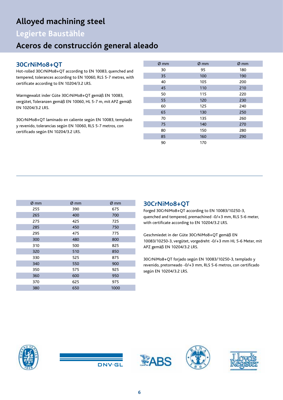# **Alloyed machining steel**

# **Legierte Baustähle**

# **Aceros de construcción general aleado**

# **30CrNiMo8+QT**

Hot-rolled 30CrNiMo8+QT according to EN 10083, quenched and tempered, tolerances according to EN 10060, RLS 5-7 metres, with certificate according to EN 10204/3.2 LRS.

Warmgewalzt inder Güte 30CrNiMo8+QT gemäß EN 10083, vergütet, Toleranzen gemäß EN 10060, HL 5-7 m, mit APZ gemäß EN 10204/3.2 LRS.

30CrNiMo8+QT laminado en caliente según EN 10083, templado y revenido, tolerancias según EN 10060, RLS 5-7 metros, con certificado según EN 10204/3.2 LRS.

| $Ø$ mm | $Ø$ mm | $Ø$ mm |
|--------|--------|--------|
| 30     | 95     | 180    |
| 35     | 100    | 190    |
| 40     | 105    | 200    |
| 45     | 110    | 210    |
| 50     | 115    | 220    |
| 55     | 120    | 230    |
| 60     | 125    | 240    |
| 65     | 130    | 250    |
| 70     | 135    | 260    |
| 75     | 140    | 270    |
| 80     | 150    | 280    |
| 85     | 160    | 290    |
| 90     | 170    |        |

| $\varnothing$ mm | $\varnothing$ mm | $\varnothing$ mm |
|------------------|------------------|------------------|
| 255              | 390              | 675              |
| 265              | 400              | 700              |
| 275              | 425              | 725              |
| 285              | 450              | 750              |
| 295              | 475              | 775              |
| 300              | 480              | 800              |
| 310              | 500              | 825              |
| 320              | 510              | 850              |
| 330              | 525              | 875              |
| 340              | 550              | 900              |
| 350              | 575              | 925              |
| 360              | 600              | 950              |
| 370              | 625              | 975              |
| 380              | 650              | 1000             |

### **30CrNiMo8+QT**

Forged 30CrNiMo8+QT according to EN 10083/10250-3, quenched and tempered, premachined -0/+3 mm, RLS 5-6 meter, with certificate according to EN 10204/3.2 LRS.

Geschmiedet in der Güte 30CrNiMo8+QT gemäß EN 10083/10250-3, vergütet, vorgedreht -0/+3 mm HL 5-6 Meter, mit APZ gemäß EN 10204/3.2 LRS.

30CrNiMo8+QT forjado según EN 10083/10250-3, templado y revenido, pretorneado -0/+3 mm, RLS 5-6 metros, con certificado según EN 10204/3.2 LRS.





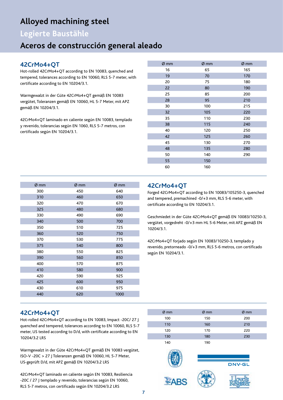# **Alloyed machining steel**

# **Legierte Baustähle**

# **Aceros de construcción general aleado**

## **42CrMo4+QT**

Hot-rolled 42CrMo4+QT according to EN 10083, quenched and tempered, tolerances according to EN 10060, RLS 5-7 meter, with certificate according to EN 10204/3.1.

Warmgewalzt in der Güte 42CrMo4+QT gemäß EN 10083 vergütet, Toleranzen gemäß EN 10060, HL 5-7 Meter, mit APZ gemäß EN 10204/3.1.

42CrMo4+QT laminado en caliente según EN 10083, templado y revenido, tolerancias según EN 1060, RLS 5-7 metros, con certificado según EN 10204/3.1.

| Ø mm | Ø mm | Ø mm |
|------|------|------|
| 16   | 65   | 165  |
| 19   | 70   | 170  |
| 20   | 75   | 180  |
| 22   | 80   | 190  |
| 25   | 85   | 200  |
| 28   | 95   | 210  |
| 30   | 100  | 215  |
| 32   | 105  | 220  |
| 35   | 110  | 230  |
| 38   | 115  | 240  |
| 40   | 120  | 250  |
| 42   | 125  | 260  |
| 45   | 130  | 270  |
| 48   | 135  | 280  |
| 50   | 140  | 290  |
| 55   | 150  |      |
| 60   | 160  |      |

| Ø mm | Ø mm | Ø mm |
|------|------|------|
| 300  | 450  | 640  |
| 310  | 460  | 650  |
| 320  | 470  | 670  |
| 325  | 480  | 680  |
| 330  | 490  | 690  |
| 340  | 500  | 700  |
| 350  | 510  | 725  |
| 360  | 520  | 750  |
| 370  | 530  | 775  |
| 375  | 540  | 800  |
| 380  | 550  | 825  |
| 390  | 560  | 850  |
| 400  | 570  | 875  |
| 410  | 580  | 900  |
| 420  | 590  | 925  |
| 425  | 600  | 950  |
| 430  | 610  | 975  |
| 440  | 620  | 1000 |
|      |      |      |

### **42CrMo4+QT**

Forged 42CrMo4+QT according to EN 10083/105250-3, quenched and tempered, premachined -0/+3 mm, RLS 5-6 meter, with certificate according to EN 10204/3.1.

Geschmiedet in der Güte 42CrMo4+QT gemäß EN 10083/10250-3, vergütet, vorgedreht -0/+3 mm HL 5-6 Meter, mit APZ gemäß EN 10204/3.1.

42CrMo4+QT forjado según EN 10083/10250-3, templado y revenido, pretorneado -0/+3 mm, RLS 5-6 metros, con certificado según EN 10204/3.1.

### **42CrMo4+QT**

Hot-rolled 42CrMo4+QT according to EN 10083, Impact -20C/ 27 J quenched and tempered, tolerances according to EN 10060, RLS 5-7 meter, US tested according to D/d, with certificate according to EN 10204/3.2 LRS

Warmgewalzt in der Güte 42CrMo4+QT gemäß EN 10083 vergütet, ISO-V -20C > 27 J Toleranzen gemäß EN 10060, HL 5-7 Meter, US-geprüft D/d, mit APZ gemäß EN 10204/3.2 LRS

42CrMo4+QT laminado en caliente según EN 10083, Resiliencia -20C / 27 J templado y revenido, tolerancias según EN 10060, RLS 5-7 metros, con certificado según EN 10204/3.2 LRS

| $Ø$ mm | $Ø$ mm | $Ø$ mm |
|--------|--------|--------|
| 100    | 150    | 200    |
| 110    | 160    | 210    |
| 120    | 170    | 220    |
| 130    | 180    | 230    |
| 140    | 190    |        |

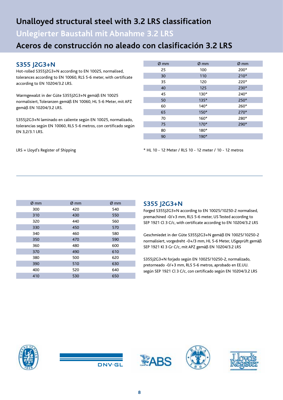# **Unalloyed structural steel with 3.2 LRS classification**

**Unlegierter Baustahl mit Abnahme 3.2 LRS**

# **Aceros de construcción no aleado con clasificación 3.2 LRS**

### **S355 J2G3+N**

Hot-rolled S355J2G3+N according to EN 10025, normalised, tolerances according to EN 10060, RLS 5-6 meter, with certificate according to EN 10204/3.2 LRS.

Warmgewalzt in der Güte S355J2G3+N gemäß EN 10025 normalisiert, Toleranzen gemäß EN 10060, HL 5-6 Meter, mit APZ gemäß EN 10204/3.2 LRS.

S355J2G3+N laminado en caliente según EN 10025, normalizado, tolerancias según EN 10060, RLS 5-6 metros, con certificado según EN 3,2/3.1 LRS.

| $\varnothing$ mm | $\varnothing$ mm | Ø mm   |
|------------------|------------------|--------|
| 25               | 100              | 200*   |
| 30               | 110              | $210*$ |
| 35               | 120              | 220*   |
| 40               | 125              | 230*   |
| 45               | $130*$           | 240*   |
| 50               | $135*$           | 250*   |
| 60               | $140*$           | 260*   |
| 65               | $150*$           | 270*   |
| 70               | $160*$           | 280*   |
| 75               | $170*$           | 290*   |
| 80               | 180*             |        |
| 90               | 190*             |        |

LRS = Lloyd's Register of Shipping

\* HL 10 - 12 Meter / RLS 10 - 12 meter / 10 - 12 metros

| $\varnothing$ mm | $\varnothing$ mm | $\varnothing$ mm |
|------------------|------------------|------------------|
| 300              | 420              | 540              |
| 310              | 430              | 550              |
| 320              | 440              | 560              |
| 330              | 450              | 570              |
| 340              | 460              | 580              |
| 350              | 470              | 590              |
| 360              | 480              | 600              |
| 370              | 490              | 610              |
| 380              | 500              | 620              |
| 390              | 510              | 630              |
| 400              | 520              | 640              |
| 410              | 530              | 650              |

### **S355 J2G3+N**

Forged S355J2G3+N according to EN 10025/10250-2 normalised, premachined -0/+3 mm, RLS 5-6 meter, US Tested according to SEP 1921 Cl 3 C/c, with certificate according to EN 10204/3.2 LRS

Geschmiedet in der Güte S355J2G3+N gemäß EN 10025/10250-2 normalisiert, vorgedreht -0+/3 mm, HL 5-6 Meter, USgeprüft gemäß SEP 1921 Kl 3 Gr C/c, mit APZ gemäß EN 10204/3.2 LRS

S355J2G3+N forjado según EN 10025/10250-2, normalizado, pretorneado -0/+3 mm, RLS 5-6 metros, aprobado en EE.UU. según SEP 1921 Cl 3 C/c, con certificado según EN 10204/3.2 LRS



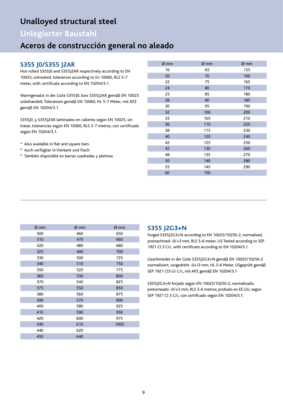# **Unalloyed structural steel**

# **Unlegierter Baustahl**

# **Aceros de construcción general no aleado**

### **S355 J0/S355 J2AR**

Hot-rolled S355J0 and S355J2AR respectively according to EN 10025, untreated, tolerances according to En 10060, RLS 5-7 meter, with certificate according to EN 10204/3.1.

Warmgewalzt in der Güte S355J0, bzw S355J2AR gemäß EN 10025 unbehandelt, Toleranzen gemäß EN 10060, HL 5-7 Meter, mit APZ gemäß EN 10204/3.1.

S355J0, y S355J2AR laminados en caliente según EN 10025, sin tratar, tolerancias según EN 10060, RLS 5-7 metros, con certificado según EN 10204/3.1.

- \* Also available in flat and square bars
- \* Auch verfügbar in Vierkant und Flach
- \* También disponible en barras cuadradas y pletinas

| Ø mm | Ø mm | Ø mm |
|------|------|------|
| 16   | 65   | 155  |
| 20   | 70   | 160  |
| 22   | 75   | 165  |
| 24   | 80   | 170  |
| 25   | 85   | 180  |
| 28   | 90   | 185  |
| 30   | 95   | 190  |
| 32   | 100  | 200  |
| 35   | 105  | 210  |
| 36   | 110  | 220  |
| 38   | 115  | 230  |
| 40   | 120  | 240  |
| 42   | 125  | 250  |
| 45   | 130  | 260  |
| 48   | 135  | 270  |
| 50   | 140  | 280  |
| 55   | 145  | 290  |
| 60   | 150  |      |

| Ø mm | Ø mm | Ø mm |
|------|------|------|
| 300  | 460  | 650  |
| 310  | 470  | 660  |
| 320  | 480  | 680  |
| 325  | 490  | 700  |
| 330  | 500  | 725  |
| 340  | 510  | 750  |
| 350  | 520  | 775  |
| 360  | 530  | 800  |
| 370  | 540  | 825  |
| 375  | 550  | 850  |
| 380  | 560  | 875  |
| 390  | 570  | 900  |
| 400  | 580  | 925  |
| 410  | 590  | 950  |
| 420  | 600  | 975  |
| 430  | 610  | 1000 |
| 440  | 620  |      |
| 450  | 640  |      |

### **S355 J2G3+N**

Forged S355J2G3+N according to EN 10025/10250-2, normalized, premachined -0/+3 mm, RLS 5-6 meter, US Tested according to SEP 1921 Cl 3 C/c, with certificate according to EN 10204/3.1.

Geschmiedet in der Güte S355J2G3+N gemäß EN 10025/10250-2 normalisiert, vorgedreht -0+/3 mm, HL 5-6 Meter, USgeprüft gemäß SEP 1921 Cl3 Gr C/c, mit APZ gemäß EN 10204/3.1

S355J2G3+N forjado según EN 10025/10250-2, normalizado, pretorneado -0/+3 mm, RLS 5-6 metros, probado en EE.UU. según SEP 1921 Cl 3 C/c, con certificado según EN 10204/3.1.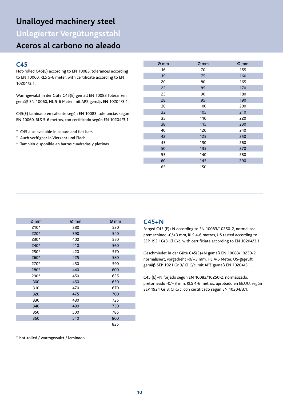# **Unalloyed machinery steel**

**Unlegierter Vergütungsstahl**

# **Aceros al carbono no aleado**

### **C45**

Hot-rolled C45(E) according to EN 10083, tolerances according to EN 10060, RLS 5-6 meter, with certificate according to EN 10204/3.1.

Warmgewalzt in der Güte C45(E) gemäß EN 10083 Toleranzen gemäß EN 10060, HL 5-6 Meter, mit APZ gemäß EN 10204/3.1.

C45(E) laminado en caliente según EN 10083, tolerancias según EN 10060, RLS 5-6 metros, con certificado según EN 10204/3.1.

- \* C45 also available in square and flat bars
- \* Auch verfügbar in Vierkant und Flach
- \* También disponible en barras cuadradas y pletinas

| Ø mm | Ø mm | Ø mm |
|------|------|------|
| 16   | 70   | 155  |
| 19   | 75   | 160  |
| 20   | 80   | 165  |
| 22   | 85   | 170  |
| 25   | 90   | 180  |
| 28   | 95   | 190  |
| 30   | 100  | 200  |
| 32   | 105  | 210  |
| 35   | 110  | 220  |
| 38   | 115  | 230  |
| 40   | 120  | 240  |
| 42   | 125  | 250  |
| 45   | 130  | 260  |
| 50   | 135  | 270  |
| 55   | 140  | 280  |
| 60   | 145  | 290  |
| 65   | 150  |      |

| Ø mm | Ø mm | Ø mm |
|------|------|------|
| 210* | 380  | 530  |
| 220* | 390  | 540  |
| 230* | 400  | 550  |
| 240* | 410  | 560  |
| 250* | 420  | 570  |
| 260* | 425  | 580  |
| 270* | 430  | 590  |
| 280* | 440  | 600  |
| 290* | 450  | 625  |
| 300  | 460  | 650  |
| 310  | 470  | 670  |
| 320  | 475  | 700  |
| 330  | 480  | 725  |
| 340  | 490  | 750  |
| 350  | 500  | 785  |
| 360  | 510  | 800  |
|      |      | 825  |

\* hot-rolled / warmgewalzt / laminado

### **C45+N**

Forged C45 (E)+N according to EN 10083/10250-2, normalised, premachined -0/+3 mm, RLS 4-6 metres, US tested according to SEP 1921 Gr3, Cl C/c, with certificiate according to EN 10204/3.1.

Geschmiedet in der Güte C45(E)+N gemäß EN 10083/10250-2, normalisiert, vorgedreht -0/+3 mm, HL 4-6 Meter, US-geprüft gemäß SEP 1921 Gr 3/ Cl C/c, mit APZ gemäß EN 10204/3.1.

C45 (E)+N forjado según EN 10083/10250-2, normalizado, pretorneado -0/+3 mm, RLS 4-6 metros, aprobado en EE.UU. según SEP 1921 Gr 3, CI C/c, con certificado según EN 10204/3.1.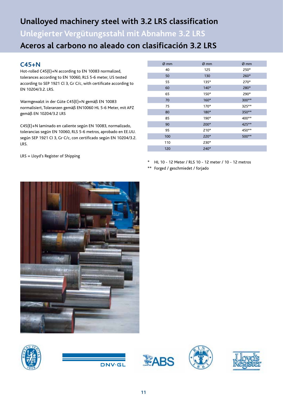# **Unalloyed machinery steel with 3.2 LRS classification**

**Unlegierter Vergütungsstahl mit Abnahme 3.2 LRS Aceros al carbono no aleado con clasificación 3.2 LRS**

### **C45+N**

Hot-rolled C45(E)+N according to EN 10083 normalized, tolerances according to EN 10060, RLS 5-6 meter, US tested according to SEP 1921 Cl 3, Gr C/c, with certificate according to EN 10204/3.2. LRS.

Warmgewalzt in der Güte C45(E)+N gemäß EN 10083 normalisiert, Toleranzen gemäß EN10060 HL 5-6 Meter, mit APZ gemäß EN 10204/3.2 LRS

C45(E)+N laminado en caliente según EN 10083, normalizado, tolerancias según EN 10060, RLS 5-6 metros, aprobado en EE.UU. según SEP 1921 CI 3, Gr C/c, con certificado según EN 10204/3.2. LRS.

LRS = Lloyd's Register of Shipping

| $Ø$ mm | $Ø$ mm | $Ø$ mm |
|--------|--------|--------|
| 40     | 125    | 250*   |
| 50     | 130    | 260*   |
| 55     | $135*$ | 270*   |
| 60     | $140*$ | 280*   |
| 65     | 150*   | 290*   |
| 70     | $160*$ | 300**  |
| 75     | 170*   | 325**  |
| 80     | 180*   | 350**  |
| 85     | 190*   | 400**  |
| 90     | 200*   | 425 ** |
| 95     | $210*$ | 450**  |
| 100    | 220*   | 500**  |
| 110    | 230*   |        |
| 120    | 240*   |        |
|        |        |        |

\* HL 10 - 12 Meter / RLS 10 - 12 meter / 10 - 12 metros

\*\* Forged / geschmiedet / forjado



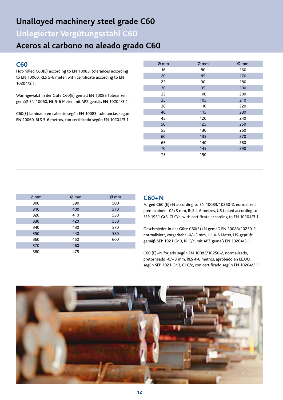# **Unalloyed machinery steel grade C60**

**Unlegierter Vergütungsstahl C60**

# **Aceros al carbono no aleado grado C60**

### **C60**

Hot-rolled C60(E) according to EN 10083, tolerances according to EN 10060, RLS 5-6 meter, with certificate according to EN 10204/3.1.

Warmgewalzt in der Güte C60(E) gemäß EN 10083 Toleranzen gemäß EN 10060, HL 5-6 Meter, mit APZ gemäß EN 10204/3.1.

C60(E) laminado en caliente según EN 10083, tolerancias según EN 10060, RLS 5-6 metros, con certificado según EN 10204/3.1.

| Ø mm | Ø mm | Ø mm |
|------|------|------|
| 16   | 80   | 160  |
| 20   | 85   | 170  |
| 25   | 90   | 180  |
| 30   | 95   | 190  |
| 32   | 100  | 200  |
| 35   | 105  | 210  |
| 38   | 110  | 220  |
| 40   | 115  | 230  |
| 45   | 120  | 240  |
| 50   | 125  | 250  |
| 55   | 130  | 260  |
| 60   | 135  | 270  |
| 65   | 140  | 280  |
| 70   | 145  | 290  |
| 75   | 150  |      |

| $Ø$ mm | $\varnothing$ mm | $Ø$ mm |
|--------|------------------|--------|
| 300    | 390              | 500    |
| 310    | 400              | 510    |
| 320    | 410              | 530    |
| 330    | 420              | 550    |
| 340    | 430              | 570    |
| 350    | 440              | 580    |
| 360    | 450              | 600    |
| 370    | 460              |        |
| 380    | 475              |        |

### **C60+N**

Forged C60 (E)+N according to EN 10083/10250-2, normalized, premachined -0/+3 mm, RLS 4-6 metres, US tested according to SEP 1921 Gr3, Cl C/c, with certificate according to EN 10204/3.1.

Geschmiedet in der Güte C60(E)+N gemäß EN 10083/10250-2, normalisiert, vorgedreht -0/+3 mm, HL 4-6 Meter, US-geprüft gemäß SEP 1921 Gr 3, Kl C/c, mit APZ gemäß EN 10204/3.1.

C60 (E)+N forjado según EN 10083/10250-2, normalizado, pretorneado -0/+3 mm, RLS 4-6 metros, aprobado en EE.UU. según SEP 1921 Gr 3, CI C/c, con certificado según EN 10204/3.1.

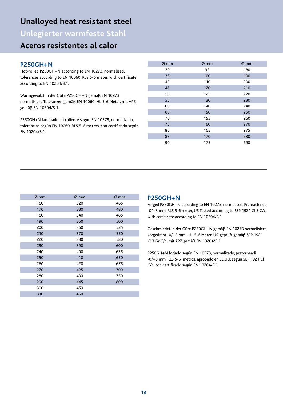# **Unalloyed heat resistant steel**

**Unlegierter warmfeste Stahl**

# **Aceros resistentes al calor**

### **P250GH+N**

Hot-rolled P250GH+N according to EN 10273, normalised, tolerances according to EN 10060, RLS 5-6 meter, with certificate according to EN 10204/3.1.

Warmgewalzt in der Güte P250GH+N gemäß EN 10273 normalisiert, Toleranzen gemäß EN 10060, HL 5-6 Meter, mit APZ gemäß EN 10204/3.1.

P250GH+N laminado en caliente según EN 10273, normalizado, tolerancias según EN 10060, RLS 5-6 metros, con certificado según EN 10204/3.1.

| $Ø$ mm | $Ø$ mm |
|--------|--------|
| 95     | 180    |
| 100    | 190    |
| 110    | 200    |
| 120    | 210    |
| 125    | 220    |
| 130    | 230    |
| 140    | 240    |
| 150    | 250    |
| 155    | 260    |
| 160    | 270    |
| 165    | 275    |
| 170    | 280    |
| 175    | 290    |
|        |        |

| Ø mm | Ø mm | Ø mm |
|------|------|------|
| 160  | 320  | 465  |
| 170  | 330  | 480  |
| 180  | 340  | 485  |
| 190  | 350  | 500  |
| 200  | 360  | 525  |
| 210  | 370  | 550  |
| 220  | 380  | 580  |
| 230  | 390  | 600  |
| 240  | 400  | 625  |
| 250  | 410  | 650  |
| 260  | 420  | 675  |
| 270  | 425  | 700  |
| 280  | 430  | 750  |
| 290  | 445  | 800  |
| 300  | 450  |      |
| 310  | 460  |      |

### **P250GH+N**

Forged P250GH+N according to EN 10273, normalised, Premachined -0/+3 mm, RLS 5-6 meter, US Tested according to SEP 1921 Cl 3 C/c, with certificate according to EN 10204/3.1

Geschmiedet in der Güte P250GH+N gemäß EN 10273 normalisiert, vorgedreht -0/+3 mm, HL 5-6 Meter, US-geprüft gemäß SEP 1921 Kl 3 Gr C/c, mit APZ gemäß EN 10204/3.1

P250GH+N forjado según EN 10273, normalizado, pretorneadi -0/+3 mm, RLS 5-6 metros, aprobado en EE.UU. según SEP 1921 Cl C/c, con certificado según EN 10204/3.1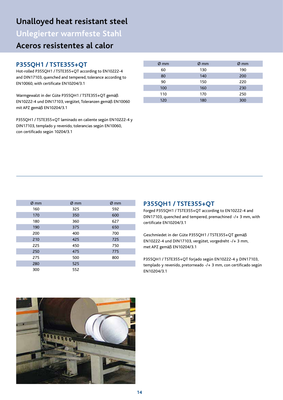# **Unalloyed heat resistant steel**

**Unlegierter warmfeste Stahl**

# **Aceros resistentes al calor**

### **P355QH1 / TSTE355+QT**

Hot-rolled P355QH1 / TSTE355+QT according to EN10222-4 and DIN17103, quenched and tempered, tolerance according to EN10060, with certificate EN10204/3.1

Warmgewalzt in der Güte P355QH1 / TSTE355+QT gemäß EN10222-4 und DIN17103, vergütet, Toleranzen gemäß EN10060 mit APZ gemäß EN10204/3.1

P355QH1 / TSTE355+QT laminado en caliente según EN10222-4 y DIN17103, templado y revenido, tolerancias según EN10060, con certificado según 10204/3.1

| $\varnothing$ mm | $\varnothing$ mm | $\varnothing$ mm |
|------------------|------------------|------------------|
| 60               | 130              | 190              |
| 80               | 140              | 200              |
| 90               | 150              | 220              |
| 100              | 160              | 230              |
| 110              | 170              | 250              |
| 120              | 180              | 300              |

| $Ø$ mm | $\varnothing$ mm | $Ø$ mm |
|--------|------------------|--------|
| 160    | 325              | 592    |
| 170    | 350              | 600    |
| 180    | 360              | 627    |
| 190    | 375              | 650    |
| 200    | 400              | 700    |
| 210    | 425              | 725    |
| 225    | 450              | 750    |
| 250    | 475              | 775    |
| 275    | 500              | 800    |
| 280    | 525              |        |
| 300    | 552              |        |

### **P355QH1 / TSTE355+QT**

Forged P355QH1 / TSTE355+QT according to EN10222-4 and DIN17103, quenched and tempered, premachined -/+ 3 mm, with certificate EN10204/3.1

Geschmiedet in der Güte P355QH1 / TSTE355+QT gemäß EN10222-4 und DIN17103, vergütet, vorgedreht -/+ 3 mm, met APZ gemäß EN10204/3.1

P355QH1 / TSTE355+QT forjado según EN10222-4 y DIN17103, templado y revenido, pretorneado -/+ 3 mm, con certificado según EN10204/3.1

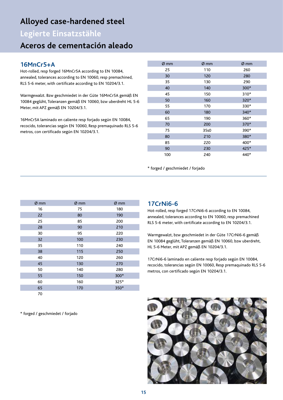# **Alloyed case-hardened steel**

**Legierte Einsatzstähle**

# **Aceros de cementación aleado**

# **16MnCr5+A**

Hot-rolled, resp forged 16MnCr5A according to EN 10084, annealed, tolerances according to EN 10060, resp premachined, RLS 5-6 meter, with certificate according to EN 10204/3.1.

Warmgewalzt. Bzw geschmiedet in der Güte 16MnCr5A gemäß EN 10084 geglüht, Toleranzen gemäß EN 10060, bzw uberdreht HL 5-6 Meter, mit APZ gemäß EN 10204/3.1.

16MnCr5A laminado en caliente resp forjado según EN 10084, recocido, tolerancias según EN 10060, Resp premaquinado RLS 5-6 metros, con certificado según EN 10204/3.1.

| $\varnothing$ mm | $\varnothing$ mm | $\varnothing$ mm |
|------------------|------------------|------------------|
| 25               | 110              | 260              |
| 30               | 120              | 280              |
| 35               | 130              | 290              |
| 40               | 140              | 300*             |
| 45               | 150              | 310*             |
| 50               | 160              | 320*             |
| 55               | 170              | 330*             |
| 60               | 180              | 340*             |
| 65               | 190              | 360*             |
| 70               | 200              | 370*             |
| 75               | 35s0             | 390*             |
| 80               | 210              | 380*             |
| 85               | 220              | 400*             |
| 90               | 230              | 425*             |
| 100              | 240              | 440*             |

\* forged / geschmiedet / forjado

| Ø mm | $\varnothing$ mm | Ø mm |
|------|------------------|------|
| 16   | 75               | 180  |
| 22   | 80               | 190  |
| 25   | 85               | 200  |
| 28   | 90               | 210  |
| 30   | 95               | 220  |
| 32   | 100              | 230  |
| 35   | 110              | 240  |
| 38   | 115              | 250  |
| 40   | 120              | 260  |
| 45   | 130              | 270  |
| 50   | 140              | 280  |
| 55   | 150              | 300* |
| 60   | 160              | 325* |
| 65   | 170              | 350* |
| 70   |                  |      |

\* forged / geschmiedet / forjado

### **17CrNi6-6**

Hot-rolled, resp forged 17CrNi6-6 according to EN 10084, annealed, tolerances according to EN 10060, resp premachined RLS 5-6 meter, with certificate according to EN 10204/3.1.

Warmgewalzt, bzw geschmiedet in der Güte 17CrNi6-6 gemäß EN 10084 geglüht, Toleranzen gemäß EN 10060, bzw uberdreht, HL 5-6 Meter, mit APZ gemäß EN 10204/3.1.

17CrNi6-6 laminado en caliente resp forjado según EN 10084, recocido, tolerancias según EN 10060, Resp premaquinado RLS 5-6 metros, con certificado según EN 10204/3.1.

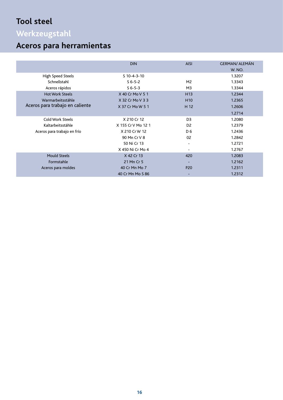# **Tool steel**

# **Werkzeugstahl**

# **Aceros para herramientas**

|                                 | <b>DIN</b>         | <b>AISI</b>     | <b>GERMAN/ ALEMÁN</b> |
|---------------------------------|--------------------|-----------------|-----------------------|
|                                 |                    |                 | <b>W. NO.</b>         |
| High Speed Steels               | $S$ 10-4-3-10      |                 | 1.3207                |
| Schnellstahl                    | $S6-5-2$           | M <sub>2</sub>  | 1.3343                |
| Aceros rápidos                  | $S6-5-3$           | M <sub>3</sub>  | 1.3344                |
| <b>Hot Work Steels</b>          | X 40 Cr Mo V 5 1   | H <sub>13</sub> | 1.2344                |
| Warmarbeitsstähle               | X 32 Cr Mo V 3 3   | H <sub>10</sub> | 1.2365                |
| Aceros para trabajo en caliente | X 37 Cr Mo W 5 1   | H 12            | 1.2606                |
|                                 |                    |                 | 1.2714                |
| Cold Work Steels                | X 210 Cr 12        | D <sub>3</sub>  | 1.2080                |
| Kaltarbeitsstähle               | X 155 Cr V Mo 12 1 | D <sub>2</sub>  | 1.2379                |
| Aceros para trabajo en frío     | X 210 Cr W 12      | D <sub>6</sub>  | 1.2436                |
|                                 | 90 Mn Cr V 8       | 02              | 1.2842                |
|                                 | 50 Ni Cr 13        | $\blacksquare$  | 1.2721                |
|                                 | X 450 Ni Cr Mo 4   |                 | 1.2767                |
| <b>Mould Steels</b>             | X 42 Cr 13         | 420             | 1.2083                |
| Formstahle                      | 21 Mn Cr 5         |                 | 1.2162                |
| Aceros para moldes              | 40 Cr Mn Mo 7      | <b>P20</b>      | 1.2311                |
|                                 | 40 Cr Mn Mo S 86   |                 | 1.2312                |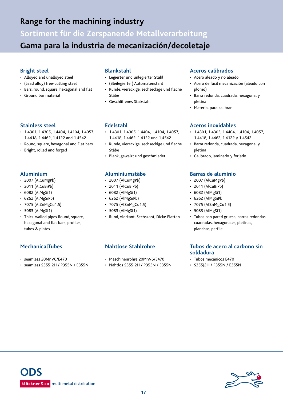# **Range for the machining industry**

**Sortiment für die Zerspanende Metallverarbeitung Gama para la industria de mecanización/decoletaje** 

### **Bright steel**

- Alloyed and unalloyed steel
- (Lead alloy) free-cutting steel
- Bars: round, square, hexagonal and flat
- Ground bar material

### **Stainless steel**

- 1.4301, 1.4305, 1.4404, 1.4104, 1.4057, 1.4418, 1.4462, 1.4122 and 1.4542
- Round, square, hexagonal and Flat bars
- Bright, rolled and forged

### **Aluminium**

- 2007 (AlCuMgPb)
- 2011 (AlCuBiPb)
- 6082 (AlMgSi1)
- 6262 (AlMgSiPb)
- 7075 (AlZnMgCu1,5)
- 5083 (AlMgSi1)
- Thick-walled pipes Round, square, hexagonal and flat bars, profiles, tubes & plates

### **MechanicalTubes**

- seamless 20MnV6/E470
- seamless S355J2H / P355N / E355N

### **Blankstahl**

- Legierter und unlegierter Stahl
- (Bleilegierter) Automatenstahl
- Runde, viereckige, sechseckige und flache Stäbe
- Geschliffenes Stabstahl

### **Edelstahl**

- 1.4301, 1.4305, 1.4404, 1.4104, 1.4057, 1.4418, 1.4462, 1.4122 und 1.4542
- Runde, viereckige, sechseckige und flache Stäbe
- Blank, gewalzt und geschmiedet

### **Aluminiumstäbe**

- 2007 (AlCuMgPb)
- 2011 (AlCuBiPb)
- 6082 (AlMgSi1)
- 6262 (AlMgSiPb)
- 7075 (AlZnMgCu1,5)
- 5083 (AlMgSi1)
- Rund, Vierkant, Sechskant, Dicke Platten

### **Nahtlose Stahlrohre**

- Maschinenrohre 20MnV6/E470
- Nahtlos S355J2H / P355N / E355N

### **Aceros calibrados**

- Acero aleado y no aleado
- Acero de fácil mecanización (aleado con plomo)
- Barra redonda, cuadrada, hexagonal y pletina
- Material para calibrar

### **Aceros inoxidables**

- 1.4301, 1.4305, 1.4404, 1.4104, 1.4057, 1.4418, 1.4462, 1.4122 y 1.4542
- Barra redonda, cuadrada, hexagonal y pletina
- Calibrado, laminado y forjado

### **Barras de aluminio**

- 2007 (AlCuMgPb)
- 2011 (AlCuBiPb)
- 6082 (AlMgSi1)
- 6262 (AlMgSiPb
- 7075 (AlZnMgCu1,5)
- 5083 (AlMgSi1)
- Tubos con pared gruesa, barras redondas, cuadradas, hexagonales, pletinas, planchas, perfile

### **Tubos de acero al carbono sin soldadura**

- Tubos mecánicos E470
- S355J2H / P355N / E355N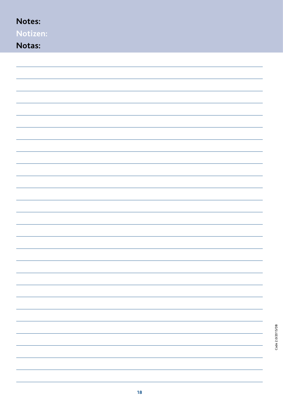| Notes:        |
|---------------|
| Notizen:      |
| <b>Notas:</b> |
|               |
|               |
|               |
|               |
|               |
|               |
|               |
|               |
|               |
|               |
|               |
|               |
|               |
|               |
|               |
|               |
|               |
|               |
|               |
|               |
|               |
|               |
|               |
|               |
|               |